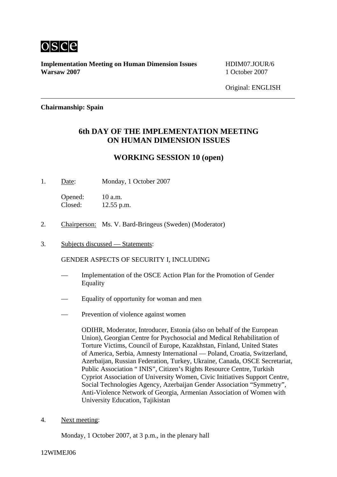

**Implementation Meeting on Human Dimension Issues** HDIM07.JOUR/6 **Warsaw 2007** 1 October 2007

Original: ENGLISH

## **Chairmanship: Spain**

## **6th DAY OF THE IMPLEMENTATION MEETING ON HUMAN DIMENSION ISSUES**

## **WORKING SESSION 10 (open)**

1. Date: Monday, 1 October 2007

Opened: 10 a.m. Closed: 12.55 p.m.

- 2. Chairperson: Ms. V. Bard-Bringeus (Sweden) (Moderator)
- 3. Subjects discussed Statements:

GENDER ASPECTS OF SECURITY I, INCLUDING

- Implementation of the OSCE Action Plan for the Promotion of Gender Equality
- Equality of opportunity for woman and men
- Prevention of violence against women

ODIHR, Moderator, Introducer, Estonia (also on behalf of the European Union), Georgian Centre for Psychosocial and Medical Rehabilitation of Torture Victims, Council of Europe, Kazakhstan, Finland, United States of America, Serbia, Amnesty International — Poland, Croatia, Switzerland, Azerbaijan, Russian Federation, Turkey, Ukraine, Canada, OSCE Secretariat, Public Association " INIS", Citizen's Rights Resource Centre, Turkish Cypriot Association of University Women, Civic Initiatives Support Centre, Social Technologies Agency, Azerbaijan Gender Association "Symmetry", Anti-Violence Network of Georgia, Armenian Association of Women with University Education, Tajikistan

4. Next meeting:

Monday, 1 October 2007, at 3 p.m., in the plenary hall